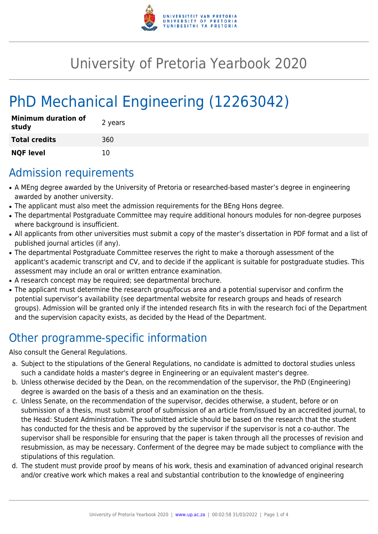

## University of Pretoria Yearbook 2020

# PhD Mechanical Engineering (12263042)

| <b>Minimum duration of</b><br>study | 2 years |
|-------------------------------------|---------|
| <b>Total credits</b>                | 360     |
| <b>NQF level</b>                    | 10      |

#### Admission requirements

- A MEng degree awarded by the University of Pretoria or researched-based master's degree in engineering awarded by another university.
- The applicant must also meet the admission requirements for the BEng Hons degree.
- The departmental Postgraduate Committee may require additional honours modules for non-degree purposes where background is insufficient.
- All applicants from other universities must submit a copy of the master's dissertation in PDF format and a list of published journal articles (if any).
- The departmental Postgraduate Committee reserves the right to make a thorough assessment of the applicant's academic transcript and CV, and to decide if the applicant is suitable for postgraduate studies. This assessment may include an oral or written entrance examination.
- A research concept may be required; see departmental brochure.
- The applicant must determine the research group/focus area and a potential supervisor and confirm the potential supervisor's availability (see departmental website for research groups and heads of research groups). Admission will be granted only if the intended research fits in with the research foci of the Department and the supervision capacity exists, as decided by the Head of the Department.

## Other programme-specific information

Also consult the General Regulations.

- a. Subject to the stipulations of the General Regulations, no candidate is admitted to doctoral studies unless such a candidate holds a master's degree in Engineering or an equivalent master's degree.
- b. Unless otherwise decided by the Dean, on the recommendation of the supervisor, the PhD (Engineering) degree is awarded on the basis of a thesis and an examination on the thesis.
- c. Unless Senate, on the recommendation of the supervisor, decides otherwise, a student, before or on submission of a thesis, must submit proof of submission of an article from/issued by an accredited journal, to the Head: Student Administration. The submitted article should be based on the research that the student has conducted for the thesis and be approved by the supervisor if the supervisor is not a co-author. The supervisor shall be responsible for ensuring that the paper is taken through all the processes of revision and resubmission, as may be necessary. Conferment of the degree may be made subject to compliance with the stipulations of this regulation.
- d. The student must provide proof by means of his work, thesis and examination of advanced original research and/or creative work which makes a real and substantial contribution to the knowledge of engineering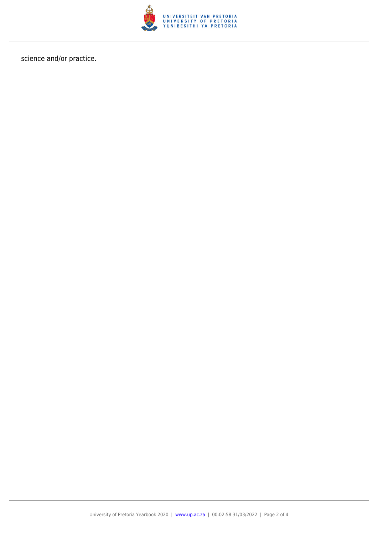

science and/or practice.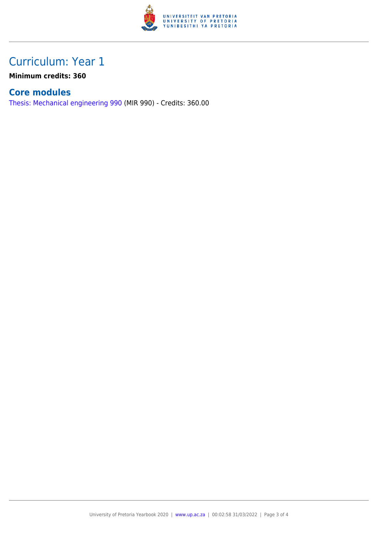

### Curriculum: Year 1

**Minimum credits: 360**

#### **Core modules**

[Thesis: Mechanical engineering 990](https://www.up.ac.za/yearbooks/2020/modules/view/MIR 990) (MIR 990) - Credits: 360.00